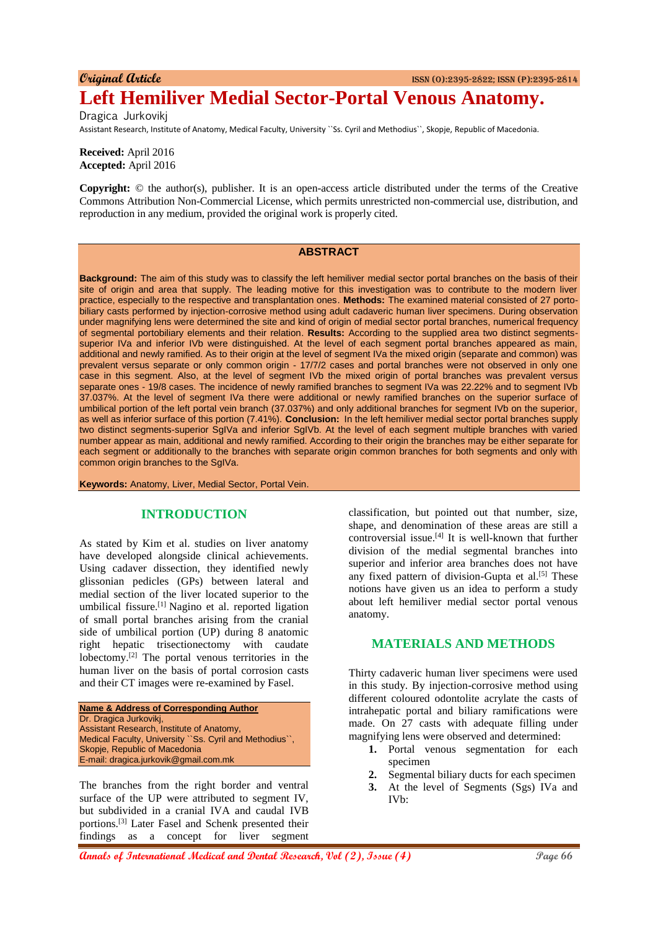**Original Article** ISSN (O):2395-2822; ISSN (P):2395-2814

# **Left Hemiliver Medial Sector-Portal Venous Anatomy.**

Dragica Jurkovikj Assistant Research, Institute of Anatomy, Medical Faculty, University ``Ss. Cyril and Methodius``, Skopje, Republic of Macedonia.

**Received:** April 2016 **Accepted:** April 2016

**Copyright:** © the author(s), publisher. It is an open-access article distributed under the terms of the Creative Commons Attribution Non-Commercial License, which permits unrestricted non-commercial use, distribution, and reproduction in any medium, provided the original work is properly cited.

## **ABSTRACT**

**Background:** The aim of this study was to classify the left hemiliver medial sector portal branches on the basis of their site of origin and area that supply. The leading motive for this investigation was to contribute to the modern liver practice, especially to the respective and transplantation ones. **Methods:** The examined material consisted of 27 portobiliary casts performed by injection-corrosive method using adult cadaveric human liver specimens. During observation under magnifying lens were determined the site and kind of origin of medial sector portal branches, numerical frequency of segmental portobiliary elements and their relation. **Results:** According to the supplied area two distinct segmentssuperior IVa and inferior IVb were distinguished. At the level of each segment portal branches appeared as main, additional and newly ramified. As to their origin at the level of segment IVa the mixed origin (separate and common) was prevalent versus separate or only common origin - 17/7/2 cases and portal branches were not observed in only one case in this segment. Also, at the level of segment IVb the mixed origin of portal branches was prevalent versus separate ones - 19/8 cases. The incidence of newly ramified branches to segment IVa was 22.22% and to segment IVb 37.037%. At the level of segment IVa there were additional or newly ramified branches on the superior surface of umbilical portion of the left portal vein branch (37.037%) and only additional branches for segment IVb on the superior, as well as inferior surface of this portion (7.41%). **Conclusion:** In the left hemiliver medial sector portal branches supply two distinct segments-superior SgIVa and inferior SgIVb. At the level of each segment multiple branches with varied number appear as main, additional and newly ramified. According to their origin the branches may be either separate for each segment or additionally to the branches with separate origin common branches for both segments and only with common origin branches to the SgIVa.

**Keywords:** Anatomy, Liver, Medial Sector, Portal Vein.

#### **INTRODUCTION**

As stated by Kim et al. studies on liver anatomy have developed alongside clinical achievements. Using cadaver dissection, they identified newly glissonian pedicles (GPs) between lateral and medial section of the liver located superior to the umbilical fissure.[1] Nagino et al. reported ligation of small portal branches arising from the cranial side of umbilical portion (UP) during 8 anatomic right hepatic trisectionectomy with caudate lobectomy.[2] The portal venous territories in the human liver on the basis of portal corrosion casts and their CT images were re-examined by Fasel.



The branches from the right border and ventral surface of the UP were attributed to segment IV, but subdivided in a cranial IVA and caudal IVB portions.[3] Later Fasel and Schenk presented their findings as a concept for liver segment

classification, but pointed out that number, size, shape, and denomination of these areas are still a controversial issue.<sup>[4]</sup> It is well-known that further division of the medial segmental branches into superior and inferior area branches does not have any fixed pattern of division-Gupta et al. $[5]$  These notions have given us an idea to perform a study about left hemiliver medial sector portal venous anatomy.

### **MATERIALS AND METHODS**

Thirty cadaveric human liver specimens were used in this study. By injection-corrosive method using different coloured odontolite acrylate the casts of intrahepatic portal and biliary ramifications were made. On 27 casts with adequate filling under magnifying lens were observed and determined:

- **1.** Portal venous segmentation for each specimen
- **2.** Segmental biliary ducts for each specimen
- **3.** At the level of Segments (Sgs) IVa and IVb: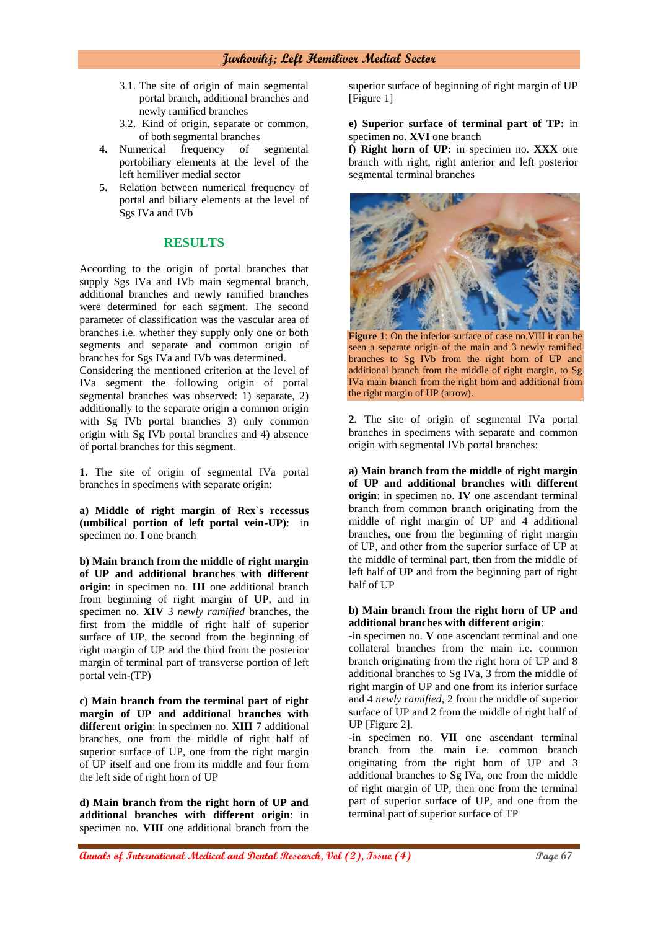- 3.1. The site of origin of main segmental portal branch, additional branches and newly ramified branches
- 3.2. Kind of origin, separate or common, of both segmental branches
- **4.** Numerical frequency of segmental portobiliary elements at the level of the left hemiliver medial sector
- **5.** Relation between numerical frequency of portal and biliary elements at the level of Sgs IVa and IVb

# **RESULTS**

According to the origin of portal branches that supply Sgs IVa and IVb main segmental branch, additional branches and newly ramified branches were determined for each segment. The second parameter of classification was the vascular area of branches i.e. whether they supply only one or both segments and separate and common origin of branches for Sgs IVa and IVb was determined.

Considering the mentioned criterion at the level of IVa segment the following origin of portal segmental branches was observed: 1) separate, 2) additionally to the separate origin a common origin with Sg IVb portal branches 3) only common origin with Sg IVb portal branches and 4) absence of portal branches for this segment.

**1.** The site of origin of segmental IVa portal branches in specimens with separate origin:

**a) Middle of right margin of Rex`s recessus (umbilical portion of left portal vein-UP)**: in specimen no. **I** one branch

**b) Main branch from the middle of right margin of UP and additional branches with different origin**: in specimen no. **III** one additional branch from beginning of right margin of UP, and in specimen no. **XIV** 3 *newly ramified* branches, the first from the middle of right half of superior surface of UP, the second from the beginning of right margin of UP and the third from the posterior margin of terminal part of transverse portion of left portal vein-(TP)

**c) Main branch from the terminal part of right margin of UP and additional branches with different origin**: in specimen no. **XIII** 7 additional branches, one from the middle of right half of superior surface of UP, one from the right margin of UP itself and one from its middle and four from the left side of right horn of UP

**d) Main branch from the right horn of UP and additional branches with different origin**: in specimen no. **VIII** one additional branch from the superior surface of beginning of right margin of UP [Figure 1]

#### **e) Superior surface of terminal part of TP:** in specimen no. **XVI** one branch

**f) Right horn of UP:** in specimen no. **XXX** one branch with right, right anterior and left posterior segmental terminal branches



**Figure 1**: On the inferior surface of case no.VIII it can be seen a separate origin of the main and 3 newly ramified branches to Sg IVb from the right horn of UP and additional branch from the middle of right margin, to Sg IVa main branch from the right horn and additional from the right margin of UP (arrow).

**2.** The site of origin of segmental IVa portal branches in specimens with separate and common origin with segmental IVb portal branches:

**a) Main branch from the middle of right margin of UP and additional branches with different origin**: in specimen no. **IV** one ascendant terminal branch from common branch originating from the middle of right margin of UP and 4 additional branches, one from the beginning of right margin of UP, and other from the superior surface of UP at the middle of terminal part, then from the middle of left half of UP and from the beginning part of right half of UP

#### **b) Main branch from the right horn of UP and additional branches with different origin**:

-in specimen no. **V** one ascendant terminal and one collateral branches from the main i.e. common branch originating from the right horn of UP and 8 additional branches to Sg IVa, 3 from the middle of right margin of UP and one from its inferior surface and 4 *newly ramified,* 2 from the middle of superior surface of UP and 2 from the middle of right half of UP [Figure 2].

-in specimen no. **VII** one ascendant terminal branch from the main i.e. common branch originating from the right horn of UP and 3 additional branches to Sg IVa, one from the middle of right margin of UP, then one from the terminal part of superior surface of UP, and one from the terminal part of superior surface of TP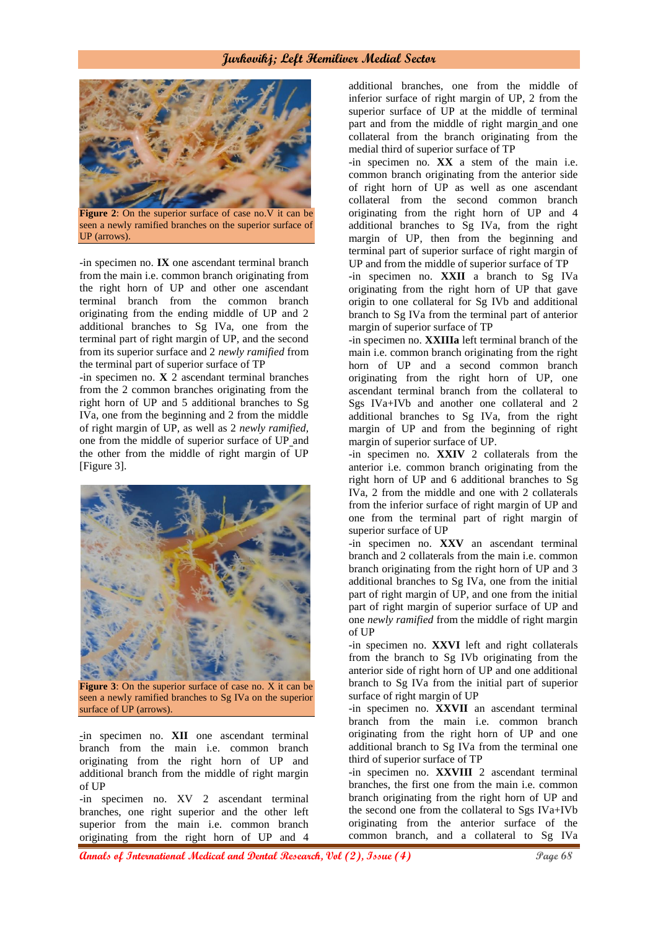

**Figure 2**: On the superior surface of case no. V it can be seen a newly ramified branches on the superior surface of UP (arrows).

-in specimen no. **IX** one ascendant terminal branch from the main i.e. common branch originating from the right horn of UP and other one ascendant terminal branch from the common branch originating from the ending middle of UP and 2 additional branches to Sg IVa, one from the terminal part of right margin of UP, and the second from its superior surface and 2 *newly ramified* from the terminal part of superior surface of TP

-in specimen no. **X** 2 ascendant terminal branches from the 2 common branches originating from the right horn of UP and 5 additional branches to Sg IVa, one from the beginning and 2 from the middle of right margin of UP, as well as 2 *newly ramified,*  one from the middle of superior surface of UP and the other from the middle of right margin of UP [Figure 3].



**Figure 3**: On the superior surface of case no. X it can be seen a newly ramified branches to Sg IVa on the superior surface of UP (arrows).

-in specimen no. **XII** one ascendant terminal branch from the main i.e. common branch originating from the right horn of UP and additional branch from the middle of right margin of UP

-in specimen no. XV 2 ascendant terminal branches, one right superior and the other left superior from the main i.e. common branch originating from the right horn of UP and 4

additional branches, one from the middle of inferior surface of right margin of UP, 2 from the superior surface of UP at the middle of terminal part and from the middle of right margin and one collateral from the branch originating from the medial third of superior surface of TP

-in specimen no. **XX** a stem of the main i.e. common branch originating from the anterior side of right horn of UP as well as one ascendant collateral from the second common branch originating from the right horn of UP and 4 additional branches to Sg IVa, from the right margin of UP, then from the beginning and terminal part of superior surface of right margin of UP and from the middle of superior surface of TP

-in specimen no. **XXII** a branch to Sg IVa originating from the right horn of UP that gave origin to one collateral for Sg IVb and additional branch to Sg IVa from the terminal part of anterior margin of superior surface of TP

-in specimen no. **XXIIIa** left terminal branch of the main i.e. common branch originating from the right horn of UP and a second common branch originating from the right horn of UP, one ascendant terminal branch from the collateral to Sgs IVa+IVb and another one collateral and 2 additional branches to Sg IVa, from the right margin of UP and from the beginning of right margin of superior surface of UP.

-in specimen no. **XXIV** 2 collaterals from the anterior i.e. common branch originating from the right horn of UP and 6 additional branches to Sg IVa, 2 from the middle and one with 2 collaterals from the inferior surface of right margin of UP and one from the terminal part of right margin of superior surface of UP

-in specimen no. **XXV** an ascendant terminal branch and 2 collaterals from the main i.e. common branch originating from the right horn of UP and 3 additional branches to Sg IVa, one from the initial part of right margin of UP, and one from the initial part of right margin of superior surface of UP and one *newly ramified* from the middle of right margin of UP

-in specimen no. **XXVI** left and right collaterals from the branch to Sg IVb originating from the anterior side of right horn of UP and one additional branch to Sg IVa from the initial part of superior surface of right margin of UP

-in specimen no. **XXVII** an ascendant terminal branch from the main i.e. common branch originating from the right horn of UP and one additional branch to Sg IVa from the terminal one third of superior surface of TP

-in specimen no. **XXVIII** 2 ascendant terminal branches, the first one from the main i.e. common branch originating from the right horn of UP and the second one from the collateral to Sgs IVa+IVb originating from the anterior surface of the common branch, and a collateral to Sg IVa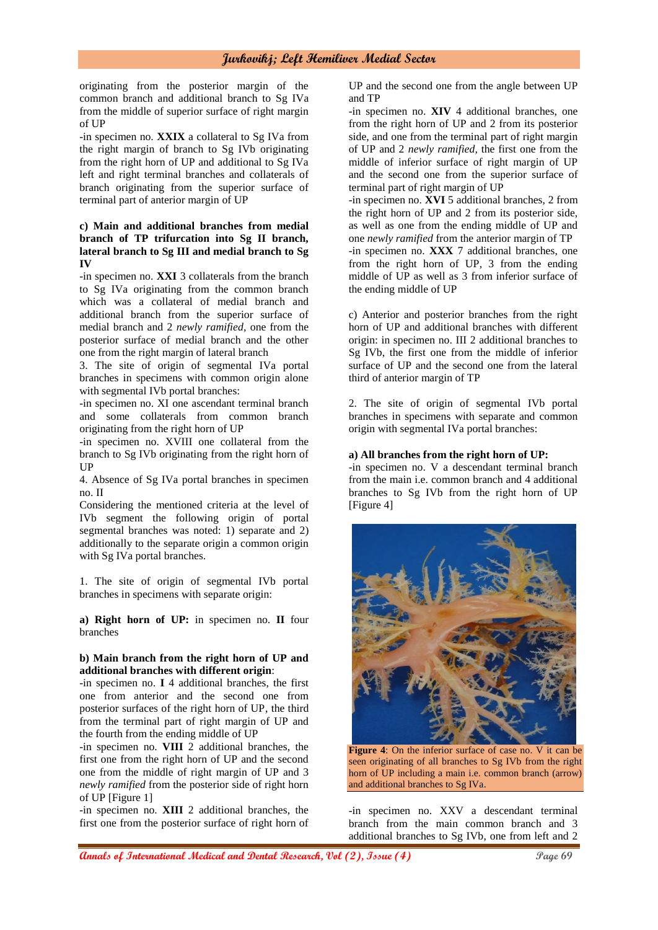originating from the posterior margin of the common branch and additional branch to Sg IVa from the middle of superior surface of right margin of UP

-in specimen no. **XXIX** a collateral to Sg IVa from the right margin of branch to Sg IVb originating from the right horn of UP and additional to Sg IVa left and right terminal branches and collaterals of branch originating from the superior surface of terminal part of anterior margin of UP

#### **c) Main and additional branches from medial branch of TP trifurcation into Sg II branch, lateral branch to Sg III and medial branch to Sg IV**

-in specimen no. **XXI** 3 collaterals from the branch to Sg IVa originating from the common branch which was a collateral of medial branch and additional branch from the superior surface of medial branch and 2 *newly ramified,* one from the posterior surface of medial branch and the other one from the right margin of lateral branch

3. The site of origin of segmental IVa portal branches in specimens with common origin alone with segmental IVb portal branches:

-in specimen no. XI one ascendant terminal branch and some collaterals from common branch originating from the right horn of UP

-in specimen no. XVIII one collateral from the branch to Sg IVb originating from the right horn of UP

4. Absence of Sg IVa portal branches in specimen no. II

Considering the mentioned criteria at the level of IVb segment the following origin of portal segmental branches was noted: 1) separate and 2) additionally to the separate origin a common origin with Sg IVa portal branches.

1. The site of origin of segmental IVb portal branches in specimens with separate origin:

**a) Right horn of UP:** in specimen no. **II** four branches

#### **b) Main branch from the right horn of UP and additional branches with different origin**:

-in specimen no. **I** 4 additional branches, the first one from anterior and the second one from posterior surfaces of the right horn of UP, the third from the terminal part of right margin of UP and the fourth from the ending middle of UP

-in specimen no. **VIII** 2 additional branches, the first one from the right horn of UP and the second one from the middle of right margin of UP and 3 *newly ramified* from the posterior side of right horn of UP [Figure 1]

-in specimen no. **XIII** 2 additional branches, the first one from the posterior surface of right horn of UP and the second one from the angle between UP and TP

-in specimen no. **XIV** 4 additional branches, one from the right horn of UP and 2 from its posterior side, and one from the terminal part of right margin of UP and 2 *newly ramified,* the first one from the middle of inferior surface of right margin of UP and the second one from the superior surface of terminal part of right margin of UP

-in specimen no. **XVI** 5 additional branches, 2 from the right horn of UP and 2 from its posterior side, as well as one from the ending middle of UP and one *newly ramified* from the anterior margin of TP -in specimen no. **XXX** 7 additional branches, one from the right horn of UP, 3 from the ending middle of UP as well as 3 from inferior surface of the ending middle of UP

c) Anterior and posterior branches from the right horn of UP and additional branches with different origin: in specimen no. III 2 additional branches to Sg IVb, the first one from the middle of inferior surface of UP and the second one from the lateral third of anterior margin of TP

2. The site of origin of segmental IVb portal branches in specimens with separate and common origin with segmental IVa portal branches:

#### **a) All branches from the right horn of UP:**

-in specimen no. V a descendant terminal branch from the main i.e. common branch and 4 additional branches to Sg IVb from the right horn of UP [Figure 4]



**Figure 4**: On the inferior surface of case no. V it can be seen originating of all branches to Sg IVb from the right horn of UP including a main i.e. common branch (arrow) and additional branches to Sg IVa.

-in specimen no. XXV a descendant terminal branch from the main common branch and 3 additional branches to Sg IVb, one from left and 2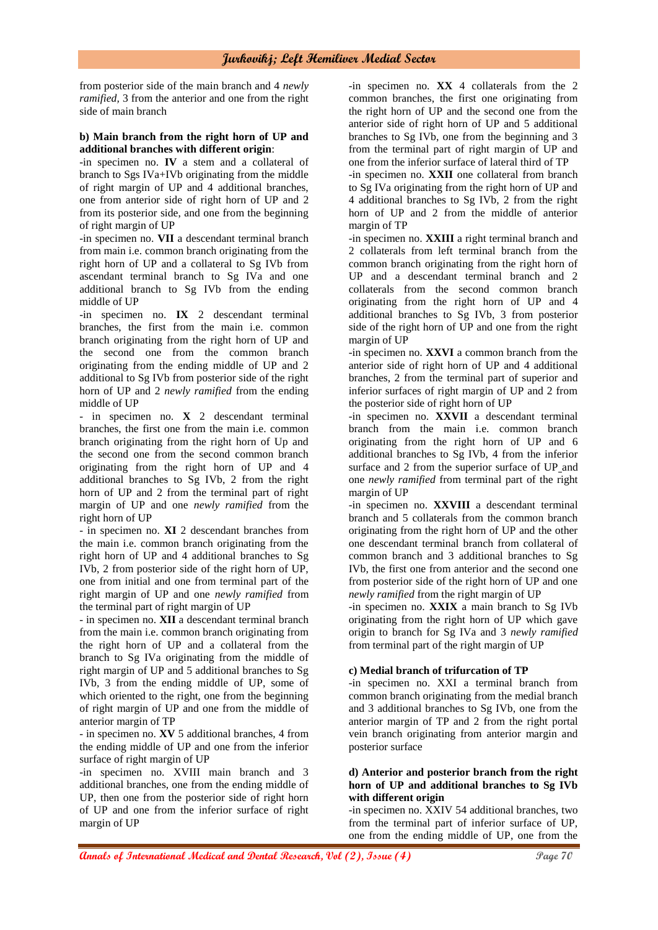from posterior side of the main branch and 4 *newly ramified,* 3 from the anterior and one from the right side of main branch

#### **b) Main branch from the right horn of UP and additional branches with different origin**:

-in specimen no. **IV** a stem and a collateral of branch to Sgs IVa+IVb originating from the middle of right margin of UP and 4 additional branches, one from anterior side of right horn of UP and 2 from its posterior side, and one from the beginning of right margin of UP

-in specimen no. **VII** a descendant terminal branch from main i.e. common branch originating from the right horn of UP and a collateral to Sg IVb from ascendant terminal branch to Sg IVa and one additional branch to Sg IVb from the ending middle of UP

-in specimen no. **IX** 2 descendant terminal branches, the first from the main i.e. common branch originating from the right horn of UP and the second one from the common branch originating from the ending middle of UP and 2 additional to Sg IVb from posterior side of the right horn of UP and 2 *newly ramified* from the ending middle of UP

- in specimen no. **X** 2 descendant terminal branches, the first one from the main i.e. common branch originating from the right horn of Up and the second one from the second common branch originating from the right horn of UP and 4 additional branches to Sg IVb, 2 from the right horn of UP and 2 from the terminal part of right margin of UP and one *newly ramified* from the right horn of UP

- in specimen no. **XI** 2 descendant branches from the main i.e. common branch originating from the right horn of UP and 4 additional branches to Sg IVb, 2 from posterior side of the right horn of UP, one from initial and one from terminal part of the right margin of UP and one *newly ramified* from the terminal part of right margin of UP

- in specimen no. **XII** a descendant terminal branch from the main i.e. common branch originating from the right horn of UP and a collateral from the branch to Sg IVa originating from the middle of right margin of UP and 5 additional branches to Sg IVb, 3 from the ending middle of UP, some of which oriented to the right, one from the beginning of right margin of UP and one from the middle of anterior margin of TP

- in specimen no. **XV** 5 additional branches, 4 from the ending middle of UP and one from the inferior surface of right margin of UP

-in specimen no. XVIII main branch and 3 additional branches, one from the ending middle of UP, then one from the posterior side of right horn of UP and one from the inferior surface of right margin of UP

-in specimen no. **XX** 4 collaterals from the 2 common branches, the first one originating from the right horn of UP and the second one from the anterior side of right horn of UP and 5 additional branches to Sg IVb, one from the beginning and 3 from the terminal part of right margin of UP and one from the inferior surface of lateral third of TP

-in specimen no. **XXII** one collateral from branch to Sg IVa originating from the right horn of UP and 4 additional branches to Sg IVb, 2 from the right horn of UP and 2 from the middle of anterior margin of TP

-in specimen no. **XXIII** a right terminal branch and 2 collaterals from left terminal branch from the common branch originating from the right horn of UP and a descendant terminal branch and 2 collaterals from the second common branch originating from the right horn of UP and 4 additional branches to Sg IVb, 3 from posterior side of the right horn of UP and one from the right margin of UP

-in specimen no. **XXVI** a common branch from the anterior side of right horn of UP and 4 additional branches, 2 from the terminal part of superior and inferior surfaces of right margin of UP and 2 from the posterior side of right horn of UP

-in specimen no. **XXVII** a descendant terminal branch from the main i.e. common branch originating from the right horn of UP and 6 additional branches to Sg IVb, 4 from the inferior surface and 2 from the superior surface of UP and one *newly ramified* from terminal part of the right margin of UP

-in specimen no. **XXVIII** a descendant terminal branch and 5 collaterals from the common branch originating from the right horn of UP and the other one descendant terminal branch from collateral of common branch and 3 additional branches to Sg IVb, the first one from anterior and the second one from posterior side of the right horn of UP and one *newly ramified* from the right margin of UP

-in specimen no. **XXIX** a main branch to Sg IVb originating from the right horn of UP which gave origin to branch for Sg IVa and 3 *newly ramified*  from terminal part of the right margin of UP

#### **c) Medial branch of trifurcation of TP**

-in specimen no. XXI a terminal branch from common branch originating from the medial branch and 3 additional branches to Sg IVb, one from the anterior margin of TP and 2 from the right portal vein branch originating from anterior margin and posterior surface

#### **d) Anterior and posterior branch from the right horn of UP and additional branches to Sg IVb with different origin**

-in specimen no. XXIV 54 additional branches, two from the terminal part of inferior surface of UP, one from the ending middle of UP, one from the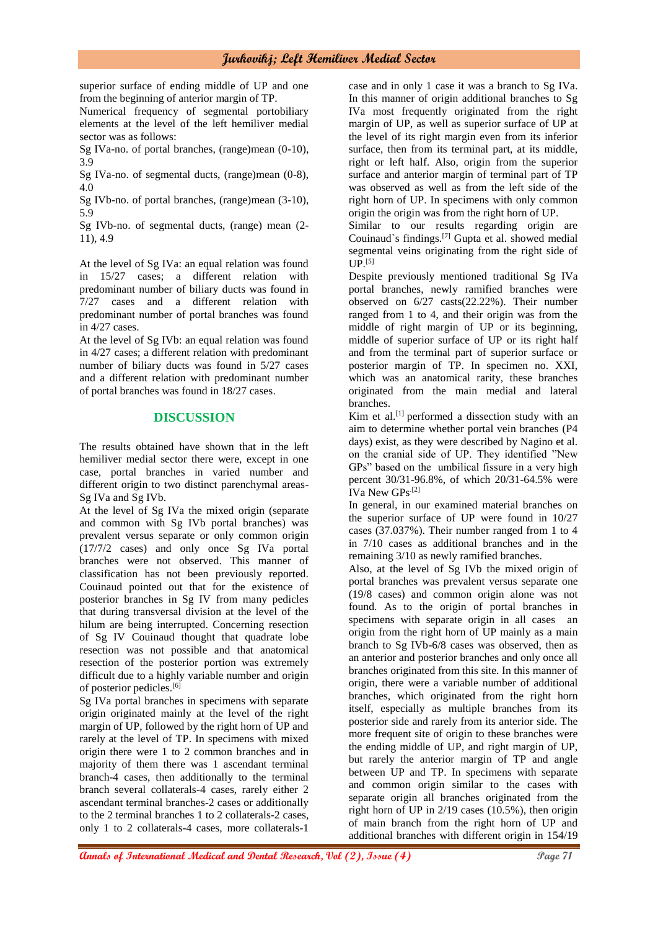superior surface of ending middle of UP and one from the beginning of anterior margin of TP.

Numerical frequency of segmental portobiliary elements at the level of the left hemiliver medial sector was as follows:

Sg IVa-no. of portal branches, (range)mean (0-10), 3.9

Sg IVa-no. of segmental ducts, (range)mean (0-8), 4.0

Sg IVb-no. of portal branches, (range)mean (3-10), 5.9

Sg IVb-no. of segmental ducts, (range) mean (2- 11), 4.9

At the level of Sg IVa: an equal relation was found in 15/27 cases; a different relation with predominant number of biliary ducts was found in 7/27 cases and a different relation with predominant number of portal branches was found in 4/27 cases.

At the level of Sg IVb: an equal relation was found in 4/27 cases; a different relation with predominant number of biliary ducts was found in 5/27 cases and a different relation with predominant number of portal branches was found in 18/27 cases.

# **DISCUSSION**

The results obtained have shown that in the left hemiliver medial sector there were, except in one case, portal branches in varied number and different origin to two distinct parenchymal areas-Sg IVa and Sg IVb.

At the level of Sg IVa the mixed origin (separate and common with Sg IVb portal branches) was prevalent versus separate or only common origin (17/7/2 cases) and only once Sg IVa portal branches were not observed. This manner of classification has not been previously reported. Couinaud pointed out that for the existence of posterior branches in Sg IV from many pedicles that during transversal division at the level of the hilum are being interrupted. Concerning resection of Sg IV Couinaud thought that quadrate lobe resection was not possible and that anatomical resection of the posterior portion was extremely difficult due to a highly variable number and origin of posterior pedicles.[6]

Sg IVa portal branches in specimens with separate origin originated mainly at the level of the right margin of UP, followed by the right horn of UP and rarely at the level of TP. In specimens with mixed origin there were 1 to 2 common branches and in majority of them there was 1 ascendant terminal branch-4 cases, then additionally to the terminal branch several collaterals-4 cases, rarely either 2 ascendant terminal branches-2 cases or additionally to the 2 terminal branches 1 to 2 collaterals-2 cases, only 1 to 2 collaterals-4 cases, more collaterals-1

case and in only 1 case it was a branch to Sg IVa. In this manner of origin additional branches to Sg IVa most frequently originated from the right margin of UP, as well as superior surface of UP at the level of its right margin even from its inferior surface, then from its terminal part, at its middle, right or left half. Also, origin from the superior surface and anterior margin of terminal part of TP was observed as well as from the left side of the right horn of UP. In specimens with only common origin the origin was from the right horn of UP.

Similar to our results regarding origin are Couinaud`s findings.[7] Gupta et al. showed medial segmental veins originating from the right side of  $UP.$ [5]

Despite previously mentioned traditional Sg IVa portal branches, newly ramified branches were observed on 6/27 casts(22.22%). Their number ranged from 1 to 4, and their origin was from the middle of right margin of UP or its beginning, middle of superior surface of UP or its right half and from the terminal part of superior surface or posterior margin of TP. In specimen no. XXI, which was an anatomical rarity, these branches originated from the main medial and lateral branches.

Kim et al.<sup>[1]</sup> performed a dissection study with an aim to determine whether portal vein branches (P4 days) exist, as they were described by Nagino et al. on the cranial side of UP. They identified "New GPs" based on the umbilical fissure in a very high percent 30/31-96.8%, of which 20/31-64.5% were IVa New GPs.[2]

In general, in our examined material branches on the superior surface of UP were found in 10/27 cases (37.037%). Their number ranged from 1 to 4 in 7/10 cases as additional branches and in the remaining 3/10 as newly ramified branches.

Also, at the level of Sg IVb the mixed origin of portal branches was prevalent versus separate one (19/8 cases) and common origin alone was not found. As to the origin of portal branches in specimens with separate origin in all cases an origin from the right horn of UP mainly as a main branch to Sg IVb-6/8 cases was observed, then as an anterior and posterior branches and only once all branches originated from this site. In this manner of origin, there were a variable number of additional branches, which originated from the right horn itself, especially as multiple branches from its posterior side and rarely from its anterior side. The more frequent site of origin to these branches were the ending middle of UP, and right margin of UP, but rarely the anterior margin of TP and angle between UP and TP. In specimens with separate and common origin similar to the cases with separate origin all branches originated from the right horn of UP in 2/19 cases (10.5%), then origin of main branch from the right horn of UP and additional branches with different origin in 154/19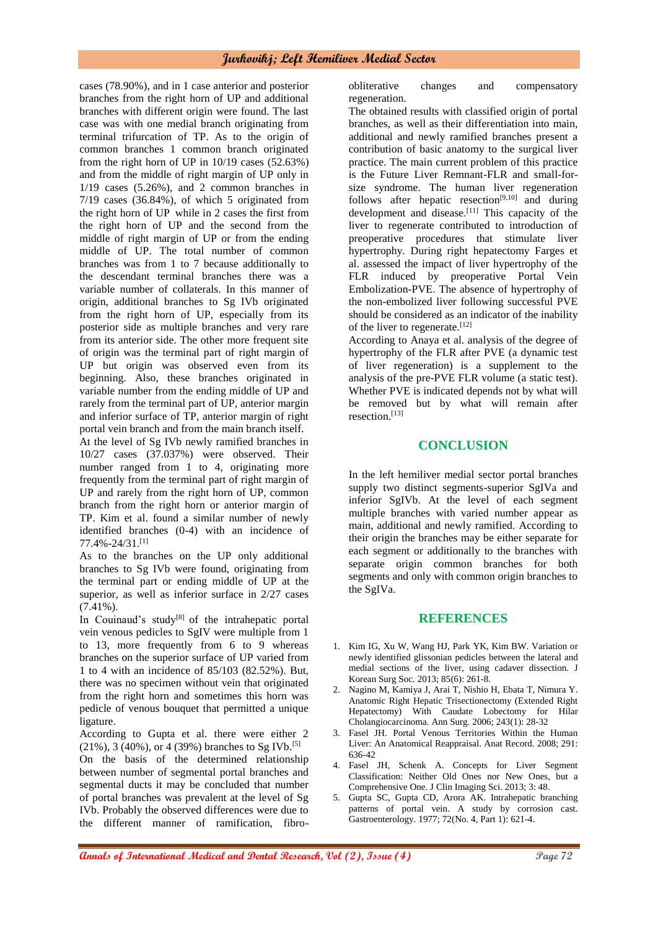cases (78.90%), and in 1 case anterior and posterior branches from the right horn of UP and additional branches with different origin were found. The last case was with one medial branch originating from terminal trifurcation of TP. As to the origin of common branches 1 common branch originated from the right horn of UP in 10/19 cases (52.63%) and from the middle of right margin of UP only in 1/19 cases (5.26%), and 2 common branches in 7/19 cases (36.84%), of which 5 originated from the right horn of UP while in 2 cases the first from the right horn of UP and the second from the middle of right margin of UP or from the ending middle of UP. The total number of common branches was from 1 to 7 because additionally to the descendant terminal branches there was a variable number of collaterals. In this manner of origin, additional branches to Sg IVb originated from the right horn of UP, especially from its posterior side as multiple branches and very rare from its anterior side. The other more frequent site of origin was the terminal part of right margin of UP but origin was observed even from its beginning. Also, these branches originated in variable number from the ending middle of UP and rarely from the terminal part of UP, anterior margin and inferior surface of TP, anterior margin of right portal vein branch and from the main branch itself.

At the level of Sg IVb newly ramified branches in 10/27 cases (37.037%) were observed. Their number ranged from 1 to 4, originating more frequently from the terminal part of right margin of UP and rarely from the right horn of UP, common branch from the right horn or anterior margin of TP. Kim et al. found a similar number of newly identified branches (0-4) with an incidence of 77.4%-24/31.[1]

As to the branches on the UP only additional branches to Sg IVb were found, originating from the terminal part or ending middle of UP at the superior, as well as inferior surface in 2/27 cases (7.41%).

In Couinaud's study $[8]$  of the intrahepatic portal vein venous pedicles to SgIV were multiple from 1 to 13, more frequently from 6 to 9 whereas branches on the superior surface of UP varied from 1 to 4 with an incidence of 85/103 (82.52%). But, there was no specimen without vein that originated from the right horn and sometimes this horn was pedicle of venous bouquet that permitted a unique ligature.

According to Gupta et al. there were either 2  $(21\%)$ , 3 (40%), or 4 (39%) branches to Sg IVb.<sup>[5]</sup>

On the basis of the determined relationship between number of segmental portal branches and segmental ducts it may be concluded that number of portal branches was prevalent at the level of Sg IVb. Probably the observed differences were due to the different manner of ramification, fibroobliterative changes and compensatory regeneration.

The obtained results with classified origin of portal branches, as well as their differentiation into main, additional and newly ramified branches present a contribution of basic anatomy to the surgical liver practice. The main current problem of this practice is the Future Liver Remnant-FLR and small-forsize syndrome. The human liver regeneration follows after hepatic resection<sup>[9,10]</sup> and during development and disease. $[11]$  This capacity of the liver to regenerate contributed to introduction of preoperative procedures that stimulate liver hypertrophy. During right hepatectomy Farges et al. assessed the impact of liver hypertrophy of the FLR induced by preoperative Portal Vein Embolization-PVE. The absence of hypertrophy of the non-embolized liver following successful PVE should be considered as an indicator of the inability of the liver to regenerate.<sup>[12]</sup>

According to Anaya et al. analysis of the degree of hypertrophy of the FLR after PVE (a dynamic test of liver regeneration) is a supplement to the analysis of the pre-PVE FLR volume (a static test). Whether PVE is indicated depends not by what will be removed but by what will remain after resection.[13]

### **CONCLUSION**

In the left hemiliver medial sector portal branches supply two distinct segments-superior SgIVa and inferior SgIVb. At the level of each segment multiple branches with varied number appear as main, additional and newly ramified. According to their origin the branches may be either separate for each segment or additionally to the branches with separate origin common branches for both segments and only with common origin branches to the SgIVa.

#### **REFERENCES**

- 1. Kim IG, Xu W, Wang HJ, Park YK, Kim BW. Variation or newly identified glissonian pedicles between the lateral and medial sections of the liver, using cadaver dissection. J Korean Surg Soc. 2013; 85(6): 261-8.
- 2. Nagino M, Kamiya J, Arai T, Nishio H, Ebata T, Nimura Y. Anatomic Right Hepatic Trisectionectomy (Extended Right Hepatectomy) With Caudate Lobectomy for Hilar Cholangiocarcinoma. Ann Surg. 2006; 243(1): 28-32
- 3. Fasel JH. Portal Venous Territories Within the Human Liver: An Anatomical Reappraisal. Anat Record. 2008; 291: 636-42
- 4. Fasel JH, Schenk A. Concepts for Liver Segment Classification: Neither Old Ones nor New Ones, but a Comprehensive One. J Clin Imaging Sci. 2013; 3: 48.
- 5. Gupta SC, Gupta CD, Arora AK. Intrahepatic branching patterns of portal vein. A study by corrosion cast. Gastroenterology. 1977; 72(No. 4, Part 1): 621-4.